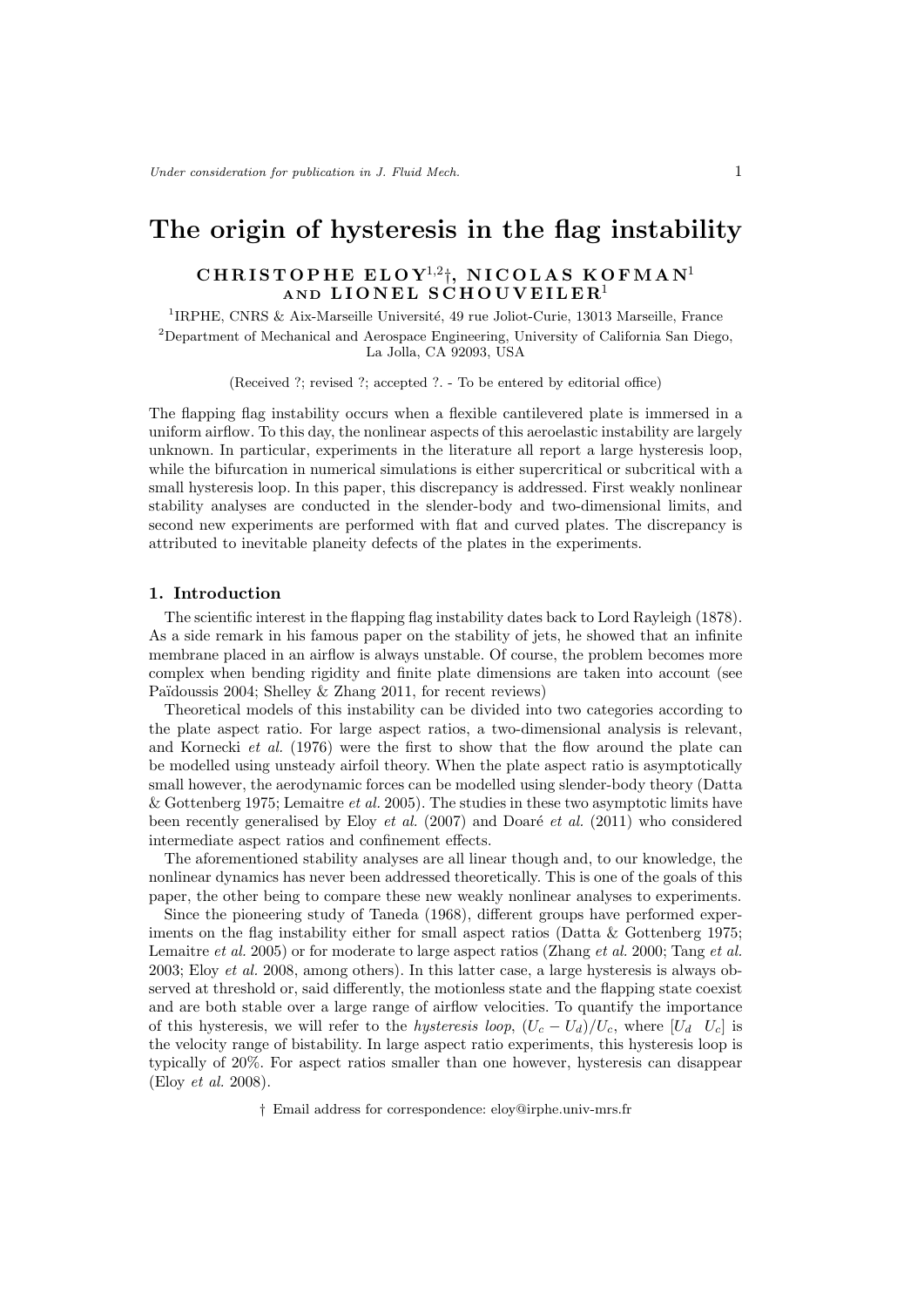# The origin of hysteresis in the flag instability

## $\mathtt{CHRISTOPHE}$  ELOY $^{1,2} \dagger, \ \mathtt{NICOLAS}$  KOFMAN $^1$ AND LIONEL SCHOUVEILER<sup>1</sup>

<sup>1</sup>IRPHE, CNRS & Aix-Marseille Université, 49 rue Joliot-Curie, 13013 Marseille, France <sup>2</sup>Department of Mechanical and Aerospace Engineering, University of California San Diego, La Jolla, CA 92093, USA

(Received ?; revised ?; accepted ?. - To be entered by editorial office)

The flapping flag instability occurs when a flexible cantilevered plate is immersed in a uniform airflow. To this day, the nonlinear aspects of this aeroelastic instability are largely unknown. In particular, experiments in the literature all report a large hysteresis loop, while the bifurcation in numerical simulations is either supercritical or subcritical with a small hysteresis loop. In this paper, this discrepancy is addressed. First weakly nonlinear stability analyses are conducted in the slender-body and two-dimensional limits, and second new experiments are performed with flat and curved plates. The discrepancy is attributed to inevitable planeity defects of the plates in the experiments.

#### 1. Introduction

The scientific interest in the flapping flag instability dates back to Lord Rayleigh (1878). As a side remark in his famous paper on the stability of jets, he showed that an infinite membrane placed in an airflow is always unstable. Of course, the problem becomes more complex when bending rigidity and finite plate dimensions are taken into account (see Païdoussis 2004; Shelley & Zhang 2011, for recent reviews)

Theoretical models of this instability can be divided into two categories according to the plate aspect ratio. For large aspect ratios, a two-dimensional analysis is relevant, and Kornecki et al. (1976) were the first to show that the flow around the plate can be modelled using unsteady airfoil theory. When the plate aspect ratio is asymptotically small however, the aerodynamic forces can be modelled using slender-body theory (Datta & Gottenberg 1975; Lemaitre et al. 2005). The studies in these two asymptotic limits have been recently generalised by Eloy *et al.* (2007) and Doaré *et al.* (2011) who considered intermediate aspect ratios and confinement effects.

The aforementioned stability analyses are all linear though and, to our knowledge, the nonlinear dynamics has never been addressed theoretically. This is one of the goals of this paper, the other being to compare these new weakly nonlinear analyses to experiments.

Since the pioneering study of Taneda (1968), different groups have performed experiments on the flag instability either for small aspect ratios (Datta  $&$  Gottenberg 1975; Lemaitre *et al.* 2005) or for moderate to large aspect ratios (Zhang *et al.* 2000; Tang *et al.* 2003; Eloy et al. 2008, among others). In this latter case, a large hysteresis is always observed at threshold or, said differently, the motionless state and the flapping state coexist and are both stable over a large range of airflow velocities. To quantify the importance of this hysteresis, we will refer to the hysteresis loop,  $(U_c - U_d)/U_c$ , where  $[U_d \ U_c]$  is the velocity range of bistability. In large aspect ratio experiments, this hysteresis loop is typically of 20%. For aspect ratios smaller than one however, hysteresis can disappear (Eloy et al. 2008).

† Email address for correspondence: eloy@irphe.univ-mrs.fr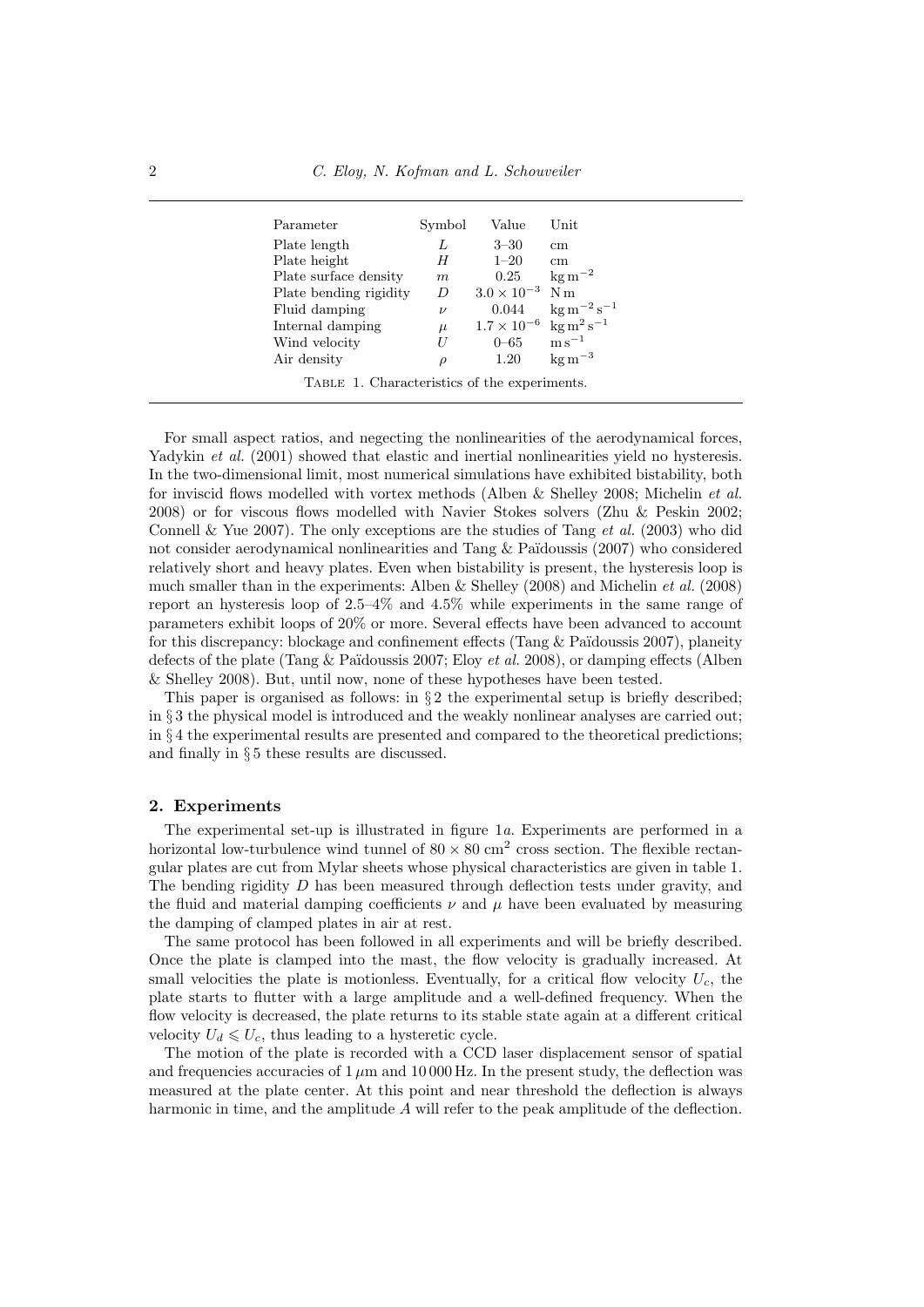| Parameter                                    | Symbol | Value                                                  | $\operatorname{Unit}$         |  |  |  |
|----------------------------------------------|--------|--------------------------------------------------------|-------------------------------|--|--|--|
| Plate length                                 | L      | $3 - 30$                                               | $\rm cm$                      |  |  |  |
| Plate height                                 | H      | $1 - 20$                                               | $\rm cm$                      |  |  |  |
| Plate surface density                        | m      | 0.25                                                   | $\mathrm{kg\,m}^{-2}$         |  |  |  |
| Plate bending rigidity                       | D      | $3.0 \times 10^{-3}$                                   | N <sub>m</sub>                |  |  |  |
| Fluid damping                                | $\nu$  | 0.044                                                  | $\mathrm{kg\,m^{-2}\,s^{-1}}$ |  |  |  |
| Internal damping                             | $\mu$  | $1.7 \times 10^{-6}$ kg m <sup>2</sup> s <sup>-1</sup> |                               |  |  |  |
| Wind velocity                                | H      | $0 - 65$                                               | $\mathrm{m\,s}^{-1}$          |  |  |  |
| Air density                                  | $\rho$ | 1.20                                                   | $\text{kg m}^{-3}$            |  |  |  |
| TABLE 1. Characteristics of the experiments. |        |                                                        |                               |  |  |  |

For small aspect ratios, and negecting the nonlinearities of the aerodynamical forces, Yadykin *et al.* (2001) showed that elastic and inertial nonlinearities yield no hysteresis. In the two-dimensional limit, most numerical simulations have exhibited bistability, both for inviscid flows modelled with vortex methods (Alben & Shelley 2008; Michelin et al. 2008) or for viscous flows modelled with Navier Stokes solvers (Zhu & Peskin 2002; Connell & Yue 2007). The only exceptions are the studies of Tang *et al.* (2003) who did not consider aerodynamical nonlinearities and Tang  $&$  Païdoussis (2007) who considered relatively short and heavy plates. Even when bistability is present, the hysteresis loop is much smaller than in the experiments: Alben & Shelley (2008) and Michelin et al. (2008) report an hysteresis loop of 2.5–4% and 4.5% while experiments in the same range of parameters exhibit loops of 20% or more. Several effects have been advanced to account for this discrepancy: blockage and confinement effects (Tang  $&$  Païdoussis 2007), planeity defects of the plate (Tang & Païdoussis 2007; Eloy *et al.* 2008), or damping effects (Alben & Shelley 2008). But, until now, none of these hypotheses have been tested.

This paper is organised as follows: in  $\S 2$  the experimental setup is briefly described; in § 3 the physical model is introduced and the weakly nonlinear analyses are carried out; in § 4 the experimental results are presented and compared to the theoretical predictions; and finally in § 5 these results are discussed.

#### 2. Experiments

The experimental set-up is illustrated in figure 1a. Experiments are performed in a horizontal low-turbulence wind tunnel of  $80 \times 80$  cm<sup>2</sup> cross section. The flexible rectangular plates are cut from Mylar sheets whose physical characteristics are given in table 1. The bending rigidity D has been measured through deflection tests under gravity, and the fluid and material damping coefficients  $\nu$  and  $\mu$  have been evaluated by measuring the damping of clamped plates in air at rest.

The same protocol has been followed in all experiments and will be briefly described. Once the plate is clamped into the mast, the flow velocity is gradually increased. At small velocities the plate is motionless. Eventually, for a critical flow velocity  $U_c$ , the plate starts to flutter with a large amplitude and a well-defined frequency. When the flow velocity is decreased, the plate returns to its stable state again at a different critical velocity  $U_d \leq U_c$ , thus leading to a hysteretic cycle.

The motion of the plate is recorded with a CCD laser displacement sensor of spatial and frequencies accuracies of  $1 \mu m$  and  $10000$  Hz. In the present study, the deflection was measured at the plate center. At this point and near threshold the deflection is always harmonic in time, and the amplitude A will refer to the peak amplitude of the deflection.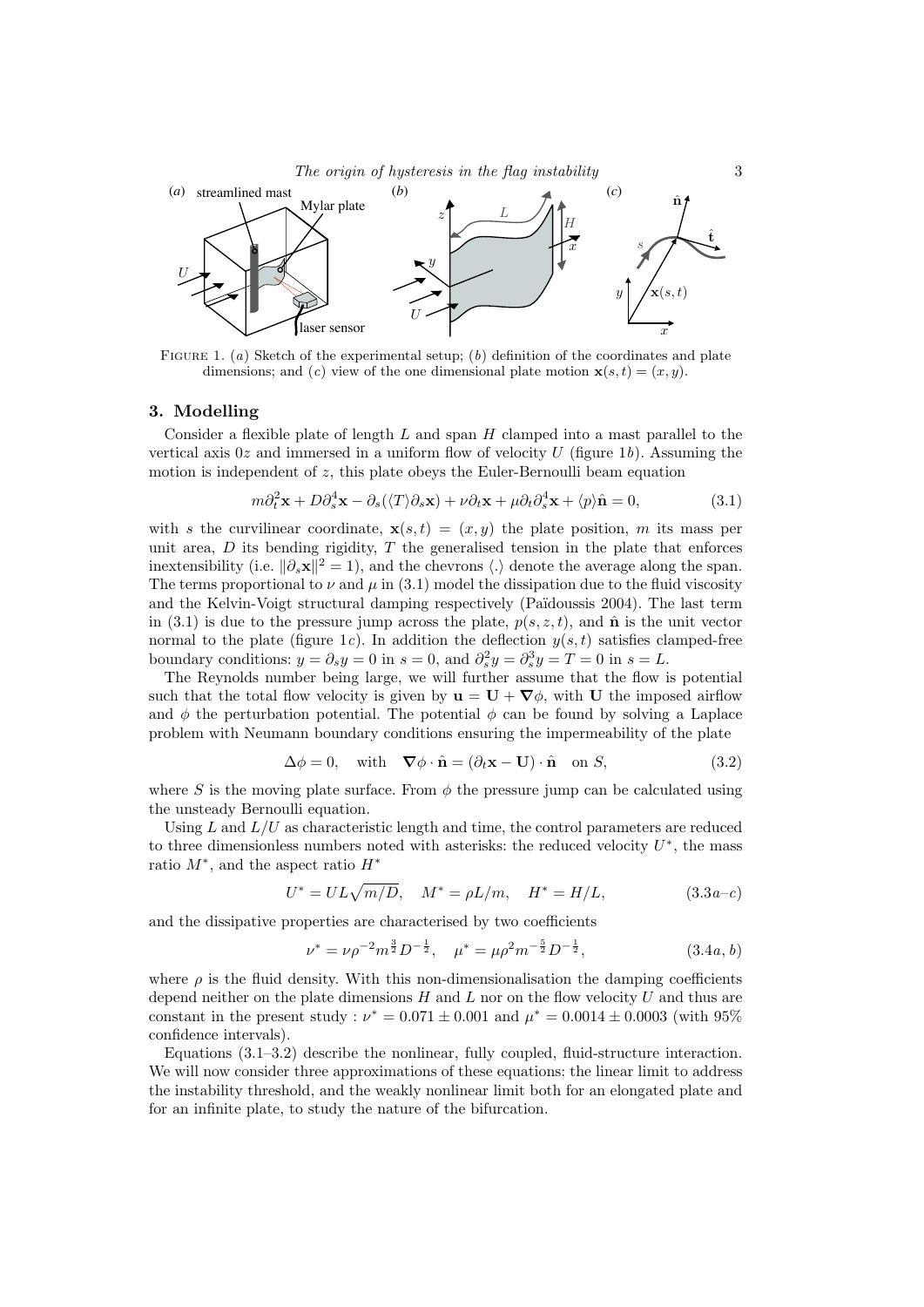

FIGURE 1. (a) Sketch of the experimental setup; (b) definition of the coordinates and plate dimensions; and (c) view of the one dimensional plate motion  $\mathbf{x}(s,t) = (x, y)$ .

#### 3. Modelling

Consider a flexible plate of length  $L$  and span  $H$  clamped into a mast parallel to the vertical axis  $0z$  and immersed in a uniform flow of velocity U (figure 1b). Assuming the motion is independent of z, this plate obeys the Euler-Bernoulli beam equation

$$
m\partial_t^2 \mathbf{x} + D\partial_s^4 \mathbf{x} - \partial_s(\langle T \rangle \partial_s \mathbf{x}) + \nu \partial_t \mathbf{x} + \mu \partial_t \partial_s^4 \mathbf{x} + \langle p \rangle \hat{\mathbf{n}} = 0,
$$
\n(3.1)

with s the curvilinear coordinate,  $\mathbf{x}(s,t) = (x, y)$  the plate position, m its mass per unit area,  $D$  its bending rigidity,  $T$  the generalised tension in the plate that enforces inextensibility (i.e.  $\|\partial_s \mathbf{x}\|^2 = 1$ ), and the chevrons  $\langle . \rangle$  denote the average along the span. The terms proportional to  $\nu$  and  $\mu$  in (3.1) model the dissipation due to the fluid viscosity and the Kelvin-Voigt structural damping respectively (Pa¨ıdoussis 2004). The last term in (3.1) is due to the pressure jump across the plate,  $p(s, z, t)$ , and  $\hat{\bf{n}}$  is the unit vector normal to the plate (figure 1c). In addition the deflection  $y(s, t)$  satisfies clamped-free boundary conditions:  $y = \partial_s y = 0$  in  $s = 0$ , and  $\partial_s^2 y = \partial_s^3 y = T = 0$  in  $s = L$ .

The Reynolds number being large, we will further assume that the flow is potential such that the total flow velocity is given by  $\mathbf{u} = \mathbf{U} + \nabla \phi$ , with U the imposed airflow and  $\phi$  the perturbation potential. The potential  $\phi$  can be found by solving a Laplace problem with Neumann boundary conditions ensuring the impermeability of the plate

$$
\Delta \phi = 0, \quad \text{with} \quad \nabla \phi \cdot \hat{\mathbf{n}} = (\partial_t \mathbf{x} - \mathbf{U}) \cdot \hat{\mathbf{n}} \quad \text{on } S,
$$
\n(3.2)

where S is the moving plate surface. From  $\phi$  the pressure jump can be calculated using the unsteady Bernoulli equation.

Using L and  $L/U$  as characteristic length and time, the control parameters are reduced to three dimensionless numbers noted with asterisks: the reduced velocity  $U^*$ , the mass ratio  $M^*$ , and the aspect ratio  $H^*$ 

$$
U^* = UL\sqrt{m/D}, \quad M^* = \rho L/m, \quad H^* = H/L,
$$
\n(3.3*a*-*c*)

and the dissipative properties are characterised by two coefficients

$$
\nu^* = \nu \rho^{-2} m^{\frac{3}{2}} D^{-\frac{1}{2}}, \quad \mu^* = \mu \rho^2 m^{-\frac{5}{2}} D^{-\frac{1}{2}}, \tag{3.4a, b}
$$

where  $\rho$  is the fluid density. With this non-dimensionalisation the damping coefficients depend neither on the plate dimensions  $H$  and  $L$  nor on the flow velocity  $U$  and thus are constant in the present study :  $\nu^* = 0.071 \pm 0.001$  and  $\mu^* = 0.0014 \pm 0.0003$  (with 95%) confidence intervals).

Equations (3.1–3.2) describe the nonlinear, fully coupled, fluid-structure interaction. We will now consider three approximations of these equations: the linear limit to address the instability threshold, and the weakly nonlinear limit both for an elongated plate and for an infinite plate, to study the nature of the bifurcation.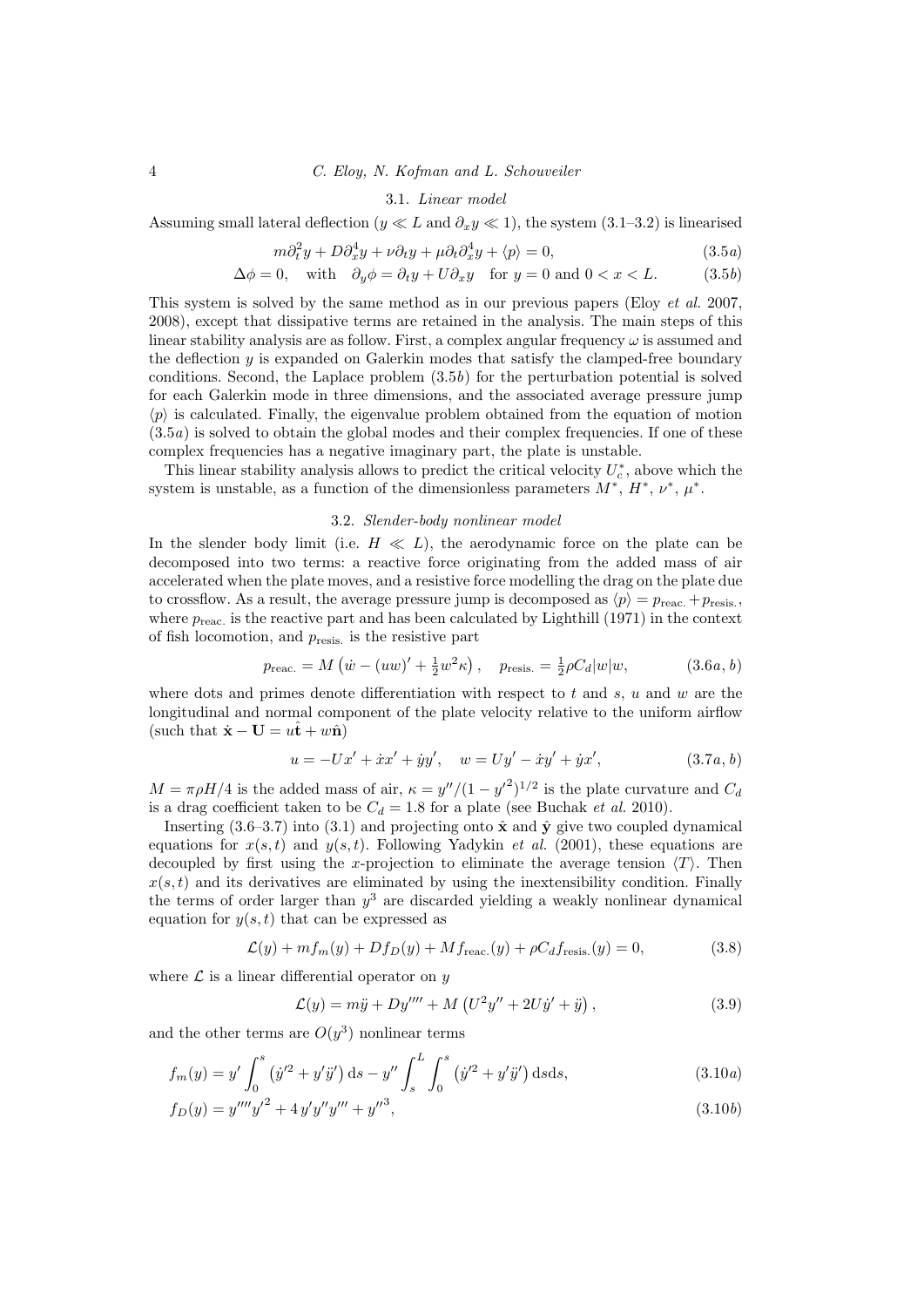## 4 C. Eloy, N. Kofman and L. Schouveiler

## 3.1. Linear model

Assuming small lateral deflection ( $y \ll L$  and  $\partial_x y \ll 1$ ), the system (3.1–3.2) is linearised

$$
m\partial_t^2 y + D\partial_x^4 y + \nu \partial_t y + \mu \partial_t \partial_x^4 y + \langle p \rangle = 0, \qquad (3.5a)
$$

$$
\Delta \phi = 0, \quad \text{with} \quad \partial_y \phi = \partial_t y + U \partial_x y \quad \text{for } y = 0 \text{ and } 0 < x < L. \tag{3.5b}
$$

This system is solved by the same method as in our previous papers (Eloy et al. 2007, 2008), except that dissipative terms are retained in the analysis. The main steps of this linear stability analysis are as follow. First, a complex angular frequency  $\omega$  is assumed and the deflection  $y$  is expanded on Galerkin modes that satisfy the clamped-free boundary conditions. Second, the Laplace problem  $(3.5b)$  for the perturbation potential is solved for each Galerkin mode in three dimensions, and the associated average pressure jump  $\langle p \rangle$  is calculated. Finally, the eigenvalue problem obtained from the equation of motion  $(3.5a)$  is solved to obtain the global modes and their complex frequencies. If one of these complex frequencies has a negative imaginary part, the plate is unstable.

This linear stability analysis allows to predict the critical velocity  $U_c^*$ , above which the system is unstable, as a function of the dimensionless parameters  $M^*$ ,  $H^*$ ,  $\nu^*$ ,  $\mu^*$ .

#### 3.2. Slender-body nonlinear model

In the slender body limit (i.e.  $H \ll L$ ), the aerodynamic force on the plate can be decomposed into two terms: a reactive force originating from the added mass of air accelerated when the plate moves, and a resistive force modelling the drag on the plate due to crossflow. As a result, the average pressure jump is decomposed as  $\langle p \rangle = p_{\text{reac.}} + p_{\text{resis.}}$ where  $p_{\text{reac}}$  is the reactive part and has been calculated by Lighthill (1971) in the context of fish locomotion, and  $p_{\text{resis}}$  is the resistive part

$$
p_{\text{reac.}} = M(\dot{w} - (uw)' + \frac{1}{2}w^2 \kappa), \quad p_{\text{resis.}} = \frac{1}{2}\rho C_d |w|w, \quad (3.6a, b)
$$

where dots and primes denote differentiation with respect to t and s, u and w are the longitudinal and normal component of the plate velocity relative to the uniform airflow (such that  $\dot{\mathbf{x}} - \mathbf{U} = u\hat{\mathbf{t}} + w\hat{\mathbf{n}}$ )

$$
u = -Ux' + \dot{x}x' + \dot{y}y', \quad w = Uy' - \dot{x}y' + \dot{y}x', \tag{3.7a, b}
$$

 $M = \pi \rho H/4$  is the added mass of air,  $\kappa = y''/(1 - y'^2)^{1/2}$  is the plate curvature and  $C_d$ is a drag coefficient taken to be  $C_d = 1.8$  for a plate (see Buchak *et al.* 2010).

Inserting (3.6–3.7) into (3.1) and projecting onto  $\hat{\mathbf{x}}$  and  $\hat{\mathbf{y}}$  give two coupled dynamical equations for  $x(s, t)$  and  $y(s, t)$ . Following Yadykin *et al.* (2001), these equations are decoupled by first using the x-projection to eliminate the average tension  $\langle T \rangle$ . Then  $x(s, t)$  and its derivatives are eliminated by using the inextensibility condition. Finally the terms of order larger than  $y^3$  are discarded yielding a weakly nonlinear dynamical equation for  $y(s, t)$  that can be expressed as

$$
\mathcal{L}(y) + mf_m(y) + Df_D(y) + Mf_{\text{reac.}}(y) + \rho C_d f_{\text{resis.}}(y) = 0,
$$
\n(3.8)

where  $\mathcal L$  is a linear differential operator on y

$$
\mathcal{L}(y) = m\ddot{y} + Dy'''' + M\left(U^2y'' + 2U\dot{y}' + \ddot{y}\right),\tag{3.9}
$$

and the other terms are  $O(y^3)$  nonlinear terms

$$
f_m(y) = y' \int_0^s (\dot{y}'^2 + y'\ddot{y}') ds - y'' \int_s^L \int_0^s (\dot{y}'^2 + y'\ddot{y}') ds ds,
$$
\n(3.10*a*)

$$
f_D(y) = y^{\prime \prime \prime \prime} y^{\prime 2} + 4 y^{\prime} y^{\prime \prime} y^{\prime \prime \prime} + y^{\prime \prime 3}, \tag{3.10b}
$$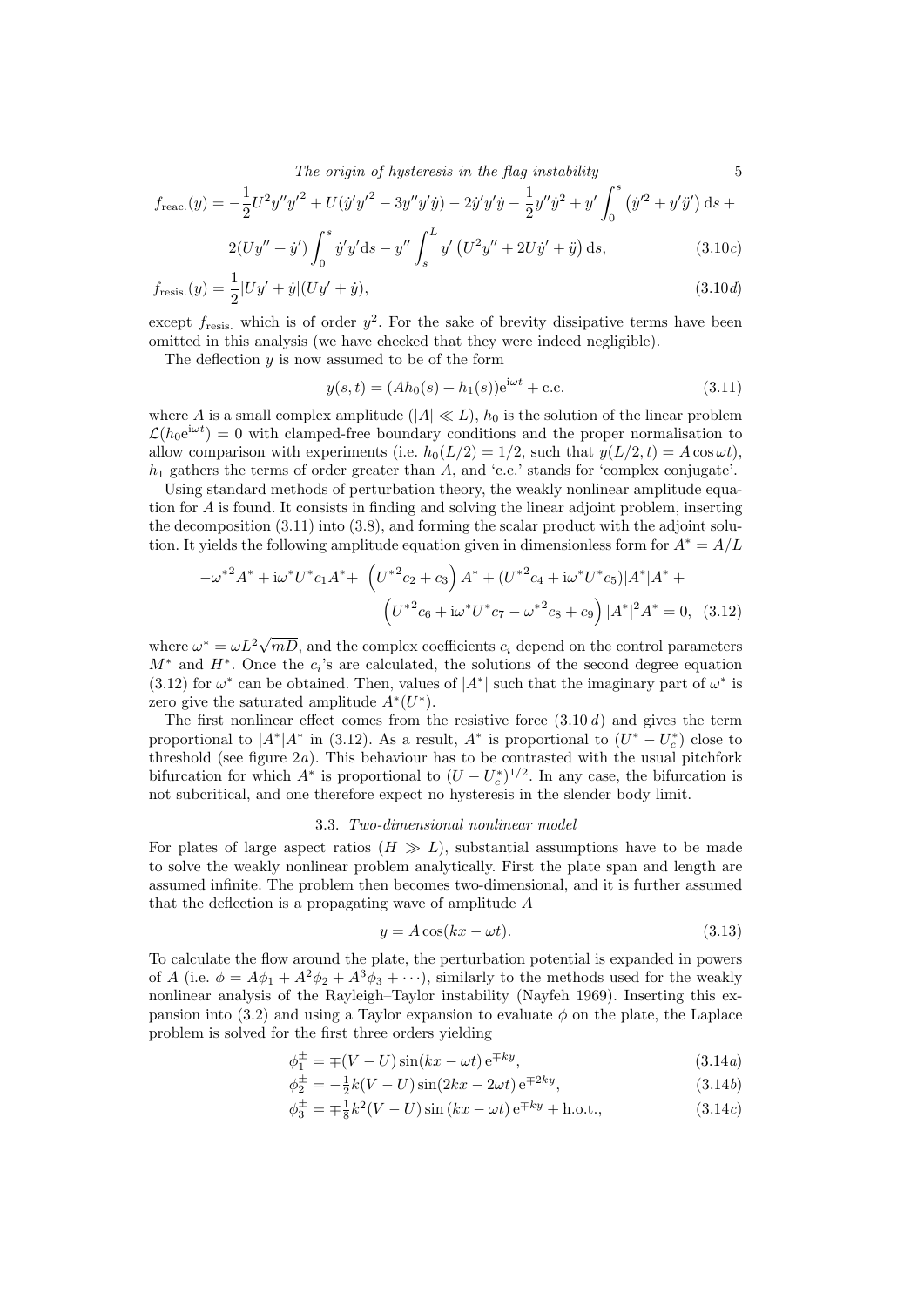The origin of hysteresis in the flag instability  $5<sup>5</sup>$ 

$$
f_{\text{reac.}}(y) = -\frac{1}{2}U^2y''y'^2 + U(\dot{y}'y'^2 - 3y''y'\dot{y}) - 2\dot{y}'y'\dot{y} - \frac{1}{2}y''\dot{y}^2 + y'\int_0^s (\dot{y}'^2 + y'\ddot{y}') ds +
$$
  

$$
2(U\dot{y}'' + \dot{y}')\int_0^s \dot{y}' \dot{y}' ds - y''\int_0^L \dot{y}'(\dot{x}^2, y' + 2U\dot{y}') ds
$$
 (2.10.2)

$$
2(Uy'' + \dot{y}') \int_0^s \dot{y}' y' \, ds - y'' \int_s^L y' \left( U^2 y'' + 2U \dot{y}' + \ddot{y} \right) \, ds,\tag{3.10c}
$$

$$
f_{\text{resis.}}(y) = \frac{1}{2}|Uy' + \dot{y}|(Uy' + \dot{y}), \qquad (3.10d)
$$

except  $f_{\text{resis}}$  which is of order  $y^2$ . For the sake of brevity dissipative terms have been omitted in this analysis (we have checked that they were indeed negligible).

The deflection  $y$  is now assumed to be of the form

$$
y(s,t) = (Ah_0(s) + h_1(s))e^{i\omega t} + c.c.
$$
\n(3.11)

where A is a small complex amplitude  $(|A| \ll L)$ ,  $h_0$  is the solution of the linear problem  $\mathcal{L}(h_0 e^{i\omega t}) = 0$  with clamped-free boundary conditions and the proper normalisation to allow comparison with experiments (i.e.  $h_0(L/2) = 1/2$ , such that  $y(L/2, t) = A \cos \omega t$ ),  $h_1$  gathers the terms of order greater than  $A$ , and 'c.c.' stands for 'complex conjugate'.

Using standard methods of perturbation theory, the weakly nonlinear amplitude equation for A is found. It consists in finding and solving the linear adjoint problem, inserting the decomposition (3.11) into (3.8), and forming the scalar product with the adjoint solution. It yields the following amplitude equation given in dimensionless form for  $A^* = A/L$ 

$$
-\omega^{*2}A^{*} + i\omega^{*}U^{*}c_{1}A^{*} + (U^{*2}c_{2} + c_{3})A^{*} + (U^{*2}c_{4} + i\omega^{*}U^{*}c_{5})|A^{*}|A^{*} + (U^{*2}c_{6} + i\omega^{*}U^{*}c_{7} - \omega^{*2}c_{8} + c_{9})|A^{*}|^{2}A^{*} = 0, (3.12)
$$

where  $\omega^* = \omega L^2 \sqrt{2L^2}$  $mD$ , and the complex coefficients  $c_i$  depend on the control parameters  $M^*$  and  $H^*$ . Once the  $c_i$ 's are calculated, the solutions of the second degree equation (3.12) for  $\omega^*$  can be obtained. Then, values of  $|A^*|$  such that the imaginary part of  $\omega^*$  is zero give the saturated amplitude  $A^*(U^*)$ .

The first nonlinear effect comes from the resistive force  $(3.10 d)$  and gives the term proportional to  $|A^*|A^*$  in (3.12). As a result,  $A^*$  is proportional to  $(U^* - U_c^*)$  close to threshold (see figure  $2a$ ). This behaviour has to be contrasted with the usual pitchfork bifurcation for which  $A^*$  is proportional to  $(U - U_c^*)^{1/2}$ . In any case, the bifurcation is not subcritical, and one therefore expect no hysteresis in the slender body limit.

#### 3.3. Two-dimensional nonlinear model

For plates of large aspect ratios  $(H \gg L)$ , substantial assumptions have to be made to solve the weakly nonlinear problem analytically. First the plate span and length are assumed infinite. The problem then becomes two-dimensional, and it is further assumed that the deflection is a propagating wave of amplitude A

$$
y = A\cos(kx - \omega t). \tag{3.13}
$$

To calculate the flow around the plate, the perturbation potential is expanded in powers of A (i.e.  $\phi = A\phi_1 + A^2\phi_2 + A^3\phi_3 + \cdots$ ), similarly to the methods used for the weakly nonlinear analysis of the Rayleigh–Taylor instability (Nayfeh 1969). Inserting this expansion into (3.2) and using a Taylor expansion to evaluate  $\phi$  on the plate, the Laplace problem is solved for the first three orders yielding

$$
\phi_1^{\pm} = \mp (V - U)\sin(kx - \omega t) e^{\mp ky}, \qquad (3.14a)
$$

$$
\phi_2^{\pm} = -\frac{1}{2}k(V - U)\sin(2kx - 2\omega t) e^{\mp 2ky}, \qquad (3.14b)
$$

$$
\phi_3^{\pm} = \mp \frac{1}{8}k^2(V - U)\sin(kx - \omega t)e^{\mp ky} + \text{h.o.t.},\tag{3.14c}
$$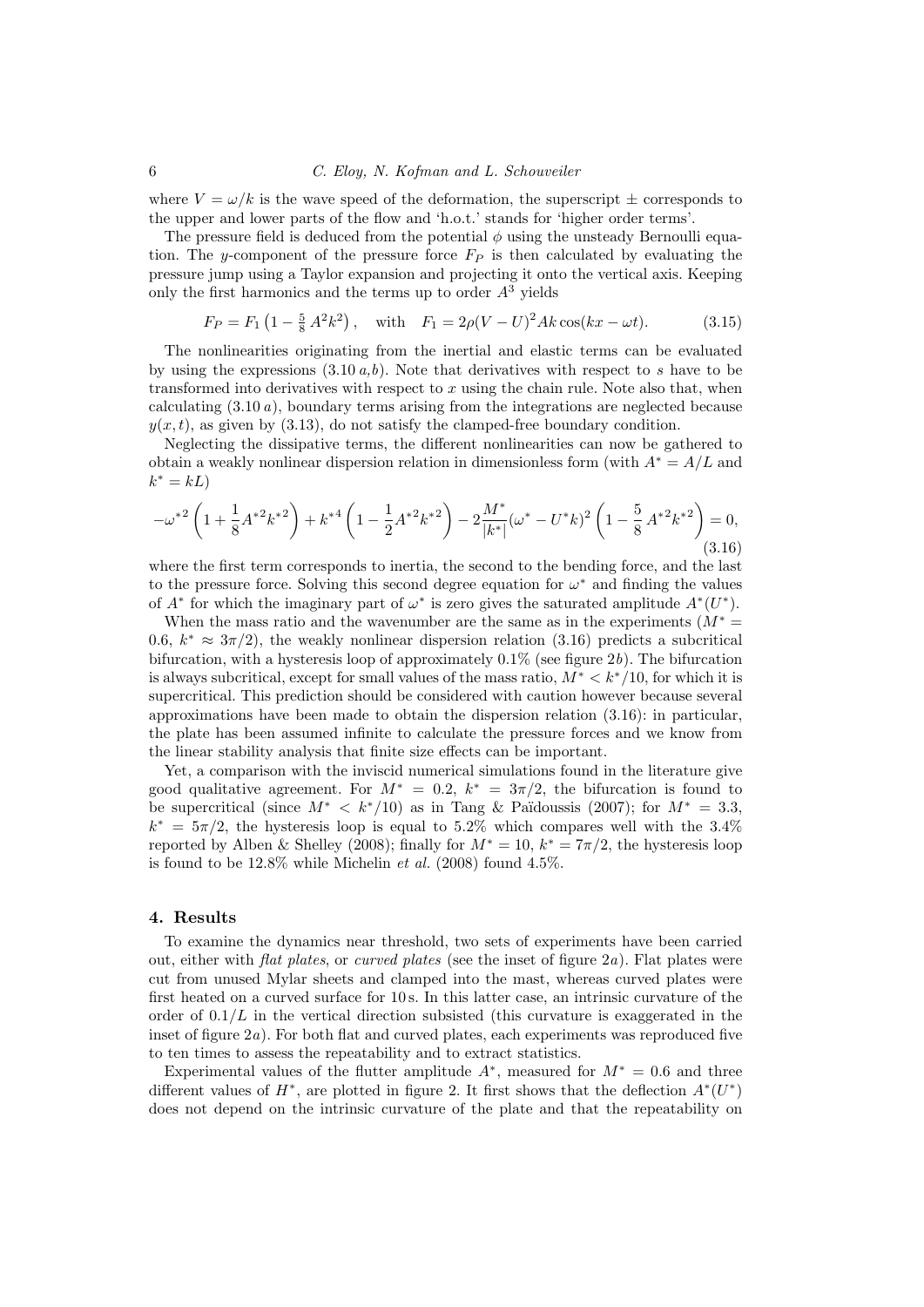#### 6 C. Eloy, N. Kofman and L. Schouveiler

where  $V = \omega/k$  is the wave speed of the deformation, the superscript  $\pm$  corresponds to the upper and lower parts of the flow and 'h.o.t.' stands for 'higher order terms'.

The pressure field is deduced from the potential  $\phi$  using the unsteady Bernoulli equation. The y-component of the pressure force  $F_P$  is then calculated by evaluating the pressure jump using a Taylor expansion and projecting it onto the vertical axis. Keeping only the first harmonics and the terms up to order  $A<sup>3</sup>$  yields

$$
F_P = F_1 \left( 1 - \frac{5}{8} A^2 k^2 \right), \quad \text{with} \quad F_1 = 2\rho (V - U)^2 Ak \cos(kx - \omega t). \tag{3.15}
$$

The nonlinearities originating from the inertial and elastic terms can be evaluated by using the expressions  $(3.10 a,b)$ . Note that derivatives with respect to s have to be transformed into derivatives with respect to  $x$  using the chain rule. Note also that, when calculating  $(3.10 a)$ , boundary terms arising from the integrations are neglected because  $y(x, t)$ , as given by (3.13), do not satisfy the clamped-free boundary condition.

Neglecting the dissipative terms, the different nonlinearities can now be gathered to obtain a weakly nonlinear dispersion relation in dimensionless form (with  $A^* = A/L$  and  $k^* = kL$ 

$$
-\omega^{*2}\left(1+\frac{1}{8}A^{*2}k^{*2}\right)+k^{*4}\left(1-\frac{1}{2}A^{*2}k^{*2}\right)-2\frac{M^*}{|k^*|}(\omega^*-U^*k)^2\left(1-\frac{5}{8}A^{*2}k^{*2}\right)=0,
$$
\n(3.16)

where the first term corresponds to inertia, the second to the bending force, and the last to the pressure force. Solving this second degree equation for  $\omega^*$  and finding the values of  $A^*$  for which the imaginary part of  $\omega^*$  is zero gives the saturated amplitude  $A^*(U^*)$ .

When the mass ratio and the wavenumber are the same as in the experiments ( $M^*$  = 0.6,  $k^* \approx 3\pi/2$ , the weakly nonlinear dispersion relation (3.16) predicts a subcritical bifurcation, with a hysteresis loop of approximately  $0.1\%$  (see figure 2b). The bifurcation is always subcritical, except for small values of the mass ratio,  $M^* < k^*/10$ , for which it is supercritical. This prediction should be considered with caution however because several approximations have been made to obtain the dispersion relation (3.16): in particular, the plate has been assumed infinite to calculate the pressure forces and we know from the linear stability analysis that finite size effects can be important.

Yet, a comparison with the inviscid numerical simulations found in the literature give good qualitative agreement. For  $M^* = 0.2$ ,  $k^* = 3\pi/2$ , the bifurcation is found to be supercritical (since  $M^* < k^*/10$ ) as in Tang & Païdoussis (2007); for  $M^* = 3.3$ ,  $k^* = 5\pi/2$ , the hysteresis loop is equal to 5.2% which compares well with the 3.4% reported by Alben & Shelley (2008); finally for  $M^* = 10$ ,  $k^* = 7\pi/2$ , the hysteresis loop is found to be  $12.8\%$  while Michelin *et al.* (2008) found  $4.5\%$ .

#### 4. Results

To examine the dynamics near threshold, two sets of experiments have been carried out, either with *flat plates*, or *curved plates* (see the inset of figure  $2a$ ). Flat plates were cut from unused Mylar sheets and clamped into the mast, whereas curved plates were first heated on a curved surface for 10 s. In this latter case, an intrinsic curvature of the order of  $0.1/L$  in the vertical direction subsisted (this curvature is exaggerated in the inset of figure  $2a$ ). For both flat and curved plates, each experiments was reproduced five to ten times to assess the repeatability and to extract statistics.

Experimental values of the flutter amplitude  $A^*$ , measured for  $M^* = 0.6$  and three different values of  $H^*$ , are plotted in figure 2. It first shows that the deflection  $A^*(U^*)$ does not depend on the intrinsic curvature of the plate and that the repeatability on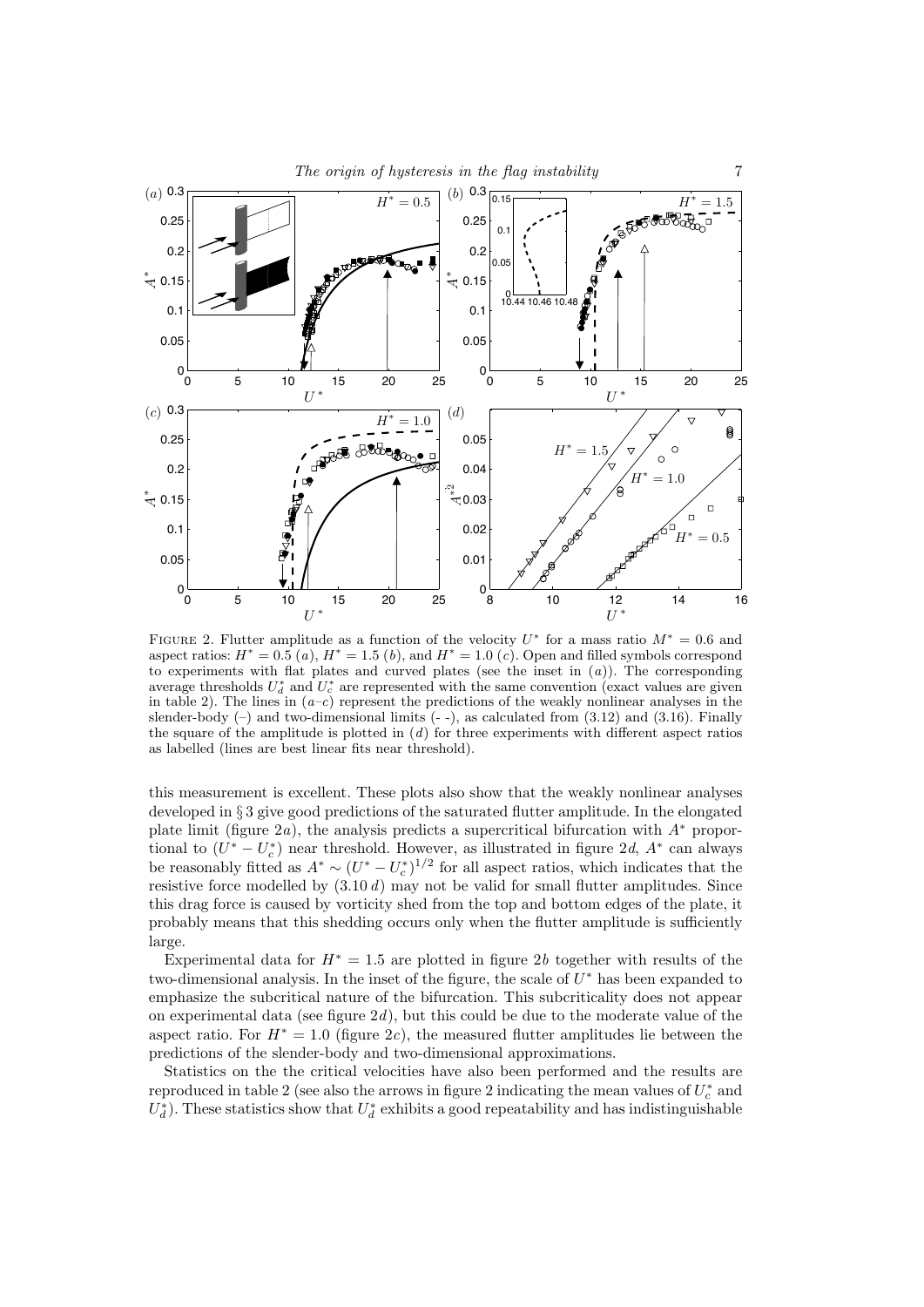

FIGURE 2. Flutter amplitude as a function of the velocity  $U^*$  for a mass ratio  $M^* = 0.6$  and aspect ratios:  $H^* = 0.5(a)$ ,  $H^* = 1.5(b)$ , and  $H^* = 1.0(c)$ . Open and filled symbols correspond to experiments with flat plates and curved plates (see the inset in  $(a)$ ). The corresponding average thresholds  $U_d^*$  and  $U_c^*$  are represented with the same convention (exact values are given in table 2). The lines in  $(a-c)$  represent the predictions of the weakly nonlinear analyses in the slender-body  $(-)$  and two-dimensional limits  $(-)$ , as calculated from  $(3.12)$  and  $(3.16)$ . Finally the square of the amplitude is plotted in  $(d)$  for three experiments with different aspect ratios as labelled (lines are best linear fits near threshold).

this measurement is excellent. These plots also show that the weakly nonlinear analyses developed in § 3 give good predictions of the saturated flutter amplitude. In the elongated plate limit (figure 2a), the analysis predicts a supercritical bifurcation with  $A^*$  proportional to  $(U^* - U_c^*)$  near threshold. However, as illustrated in figure 2d,  $A^*$  can always be reasonably fitted as  $A^* \sim (U^* - U_c^*)^{1/2}$  for all aspect ratios, which indicates that the resistive force modelled by  $(3.10 d)$  may not be valid for small flutter amplitudes. Since this drag force is caused by vorticity shed from the top and bottom edges of the plate, it probably means that this shedding occurs only when the flutter amplitude is sufficiently large.

Experimental data for  $H^* = 1.5$  are plotted in figure 2b together with results of the two-dimensional analysis. In the inset of the figure, the scale of  $U^*$  has been expanded to emphasize the subcritical nature of the bifurcation. This subcriticality does not appear on experimental data (see figure  $2d$ ), but this could be due to the moderate value of the aspect ratio. For  $H^* = 1.0$  (figure 2c), the measured flutter amplitudes lie between the predictions of the slender-body and two-dimensional approximations.

Statistics on the the critical velocities have also been performed and the results are reproduced in table 2 (see also the arrows in figure 2 indicating the mean values of  $U_c^*$  and  $U_d^*$ ). These statistics show that  $U_d^*$  exhibits a good repeatability and has indistinguishable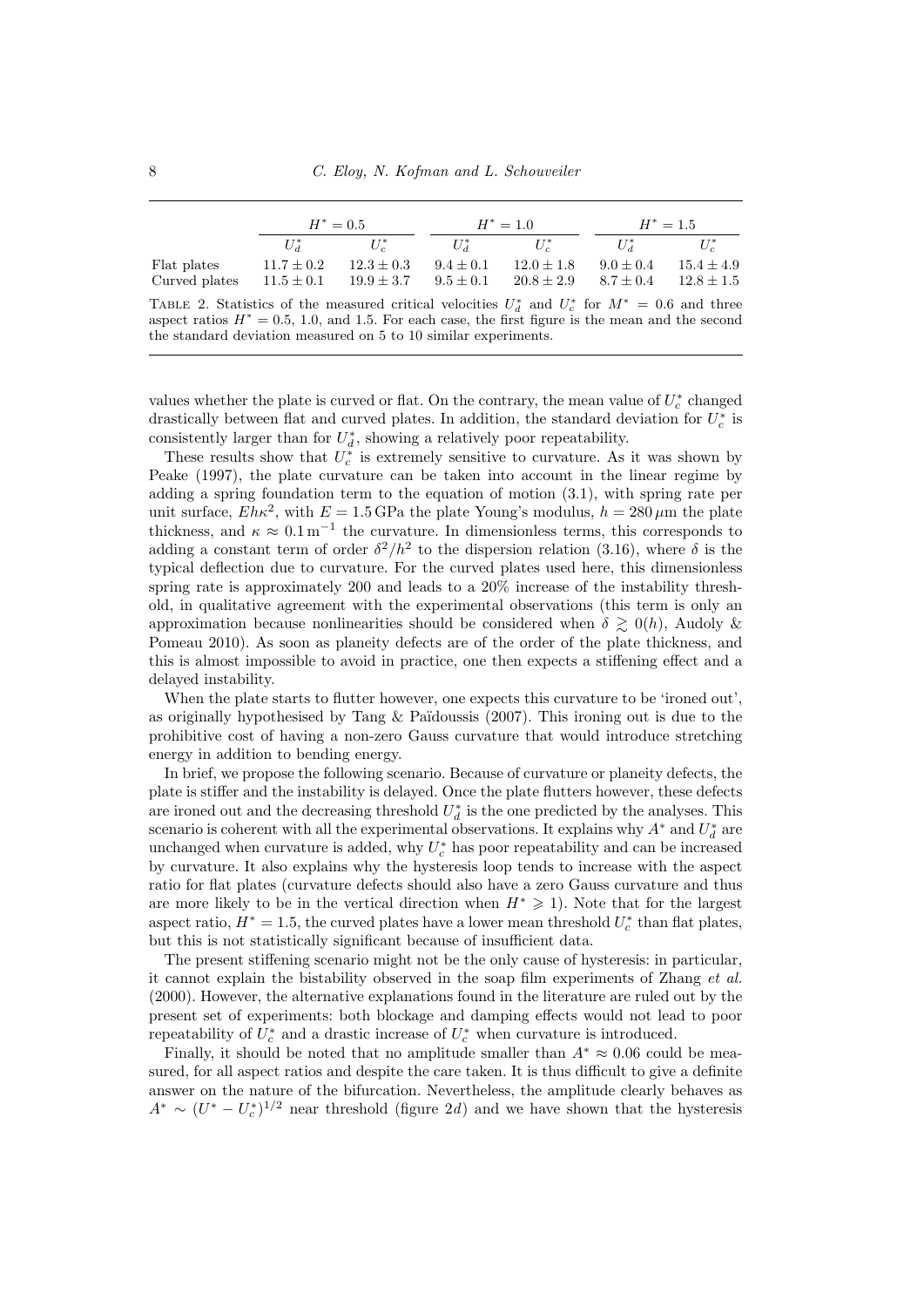|                              | $H^* = 0.5$                      |                                  | $H^* = 1.0$                    |                                  | $H^* = 1.5$                  |                                |
|------------------------------|----------------------------------|----------------------------------|--------------------------------|----------------------------------|------------------------------|--------------------------------|
|                              | $U^*$                            | $U_c^*$                          | $U^*$                          | $U_c^*$                          | $U^*$                        | $U_{c}^*$                      |
| Flat plates<br>Curved plates | $11.7 \pm 0.2$<br>$11.5 \pm 0.1$ | $12.3 \pm 0.3$<br>$19.9 \pm 3.7$ | $9.4 \pm 0.1$<br>$9.5 \pm 0.1$ | $12.0 \pm 1.8$<br>$20.8 \pm 2.9$ | $9.0 + 0.4$<br>$8.7 \pm 0.4$ | $15.4 + 4.9$<br>$12.8 \pm 1.5$ |

TABLE 2. Statistics of the measured critical velocities  $U_d^*$  and  $U_c^*$  for  $M^* = 0.6$  and three aspect ratios  $H^* = 0.5, 1.0,$  and 1.5. For each case, the first figure is the mean and the second the standard deviation measured on 5 to 10 similar experiments.

values whether the plate is curved or flat. On the contrary, the mean value of  $U_c^*$  changed drastically between flat and curved plates. In addition, the standard deviation for  $U_c^*$  is consistently larger than for  $U_d^*$ , showing a relatively poor repeatability.

These results show that  $U_c^*$  is extremely sensitive to curvature. As it was shown by Peake (1997), the plate curvature can be taken into account in the linear regime by adding a spring foundation term to the equation of motion (3.1), with spring rate per unit surface,  $Eh\kappa^2$ , with  $E = 1.5$  GPa the plate Young's modulus,  $h = 280 \,\mu \text{m}$  the plate thickness, and  $\kappa \approx 0.1 \,\mathrm{m}^{-1}$  the curvature. In dimensionless terms, this corresponds to adding a constant term of order  $\delta^2/h^2$  to the dispersion relation (3.16), where  $\delta$  is the typical deflection due to curvature. For the curved plates used here, this dimensionless spring rate is approximately 200 and leads to a 20% increase of the instability threshold, in qualitative agreement with the experimental observations (this term is only an approximation because nonlinearities should be considered when  $\delta \geq 0(h)$ , Audoly & Pomeau 2010). As soon as planeity defects are of the order of the plate thickness, and this is almost impossible to avoid in practice, one then expects a stiffening effect and a delayed instability.

When the plate starts to flutter however, one expects this curvature to be 'ironed out', as originally hypothesised by Tang & Païdoussis  $(2007)$ . This ironing out is due to the prohibitive cost of having a non-zero Gauss curvature that would introduce stretching energy in addition to bending energy.

In brief, we propose the following scenario. Because of curvature or planeity defects, the plate is stiffer and the instability is delayed. Once the plate flutters however, these defects are ironed out and the decreasing threshold  $U_d^*$  is the one predicted by the analyses. This scenario is coherent with all the experimental observations. It explains why  $A^*$  and  $U_d^*$  are unchanged when curvature is added, why  $U_c^*$  has poor repeatability and can be increased by curvature. It also explains why the hysteresis loop tends to increase with the aspect ratio for flat plates (curvature defects should also have a zero Gauss curvature and thus are more likely to be in the vertical direction when  $H^* \geq 1$ ). Note that for the largest aspect ratio,  $H^* = 1.5$ , the curved plates have a lower mean threshold  $U_c^*$  than flat plates, but this is not statistically significant because of insufficient data.

The present stiffening scenario might not be the only cause of hysteresis: in particular, it cannot explain the bistability observed in the soap film experiments of Zhang et al. (2000). However, the alternative explanations found in the literature are ruled out by the present set of experiments: both blockage and damping effects would not lead to poor repeatability of  $U_c^*$  and a drastic increase of  $U_c^*$  when curvature is introduced.

Finally, it should be noted that no amplitude smaller than  $A^* \approx 0.06$  could be measured, for all aspect ratios and despite the care taken. It is thus difficult to give a definite answer on the nature of the bifurcation. Nevertheless, the amplitude clearly behaves as  $A^* \sim (U^* - U_c^*)^{1/2}$  near threshold (figure 2d) and we have shown that the hysteresis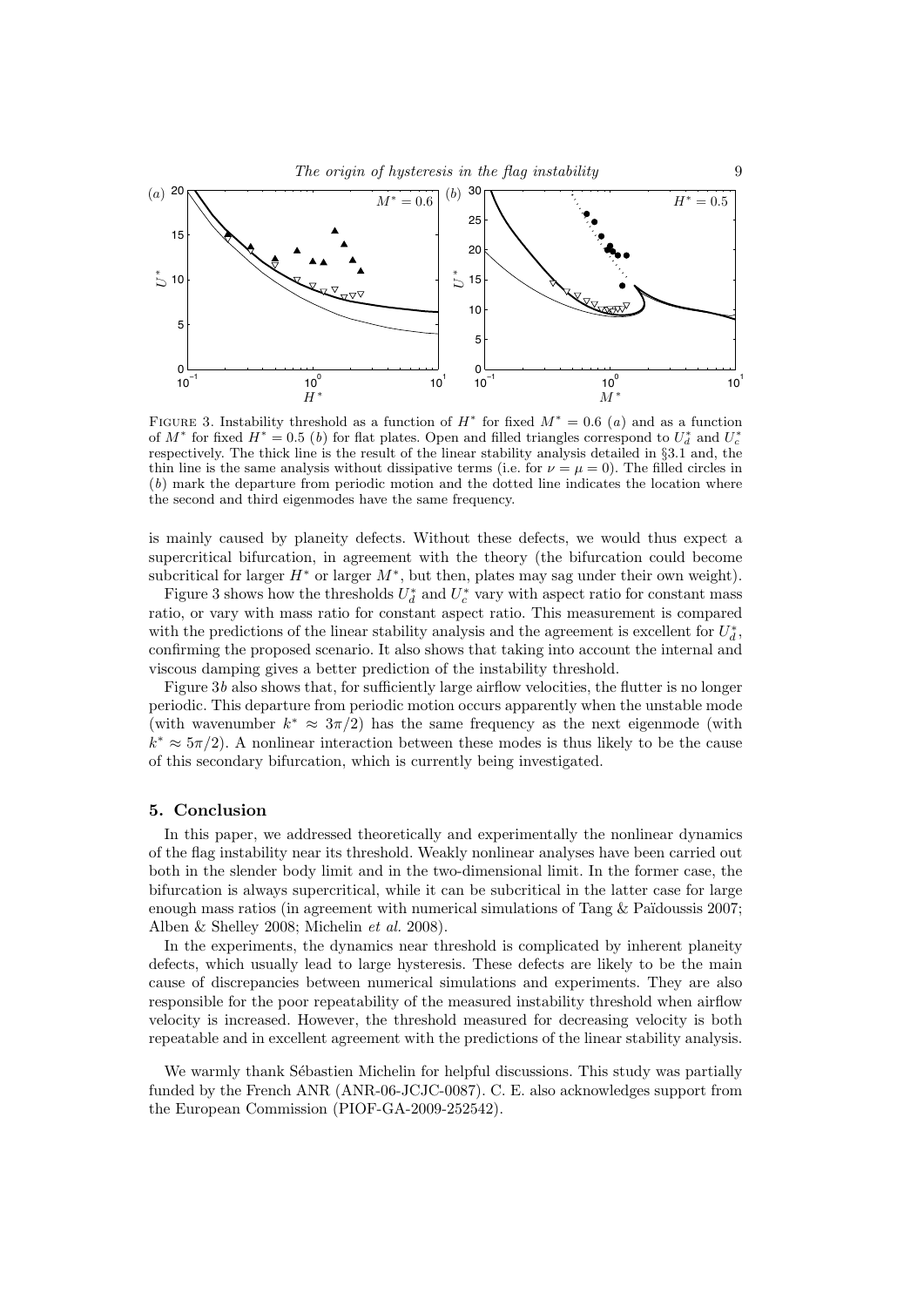

FIGURE 3. Instability threshold as a function of  $H^*$  for fixed  $M^* = 0.6$  (a) and as a function of  $M^*$  for fixed  $H^* = 0.5$  (b) for flat plates. Open and filled triangles correspond to  $U_d^*$  and  $U_c^*$ respectively. The thick line is the result of the linear stability analysis detailed in §3.1 and, the thin line is the same analysis without dissipative terms (i.e. for  $\nu = \mu = 0$ ). The filled circles in (b) mark the departure from periodic motion and the dotted line indicates the location where the second and third eigenmodes have the same frequency.

is mainly caused by planeity defects. Without these defects, we would thus expect a supercritical bifurcation, in agreement with the theory (the bifurcation could become subcritical for larger  $H^*$  or larger  $M^*$ , but then, plates may sag under their own weight).

Figure 3 shows how the thresholds  $U_d^*$  and  $U_c^*$  vary with aspect ratio for constant mass ratio, or vary with mass ratio for constant aspect ratio. This measurement is compared with the predictions of the linear stability analysis and the agreement is excellent for  $U_d^*$ , confirming the proposed scenario. It also shows that taking into account the internal and viscous damping gives a better prediction of the instability threshold.

Figure 3b also shows that, for sufficiently large airflow velocities, the flutter is no longer periodic. This departure from periodic motion occurs apparently when the unstable mode (with wavenumber  $k^* \approx 3\pi/2$ ) has the same frequency as the next eigenmode (with  $k^* \approx 5\pi/2$ ). A nonlinear interaction between these modes is thus likely to be the cause of this secondary bifurcation, which is currently being investigated.

### 5. Conclusion

In this paper, we addressed theoretically and experimentally the nonlinear dynamics of the flag instability near its threshold. Weakly nonlinear analyses have been carried out both in the slender body limit and in the two-dimensional limit. In the former case, the bifurcation is always supercritical, while it can be subcritical in the latter case for large enough mass ratios (in agreement with numerical simulations of Tang  $&$  Païdoussis 2007; Alben & Shelley 2008; Michelin et al. 2008).

In the experiments, the dynamics near threshold is complicated by inherent planeity defects, which usually lead to large hysteresis. These defects are likely to be the main cause of discrepancies between numerical simulations and experiments. They are also responsible for the poor repeatability of the measured instability threshold when airflow velocity is increased. However, the threshold measured for decreasing velocity is both repeatable and in excellent agreement with the predictions of the linear stability analysis.

We warmly thank Sébastien Michelin for helpful discussions. This study was partially funded by the French ANR (ANR-06-JCJC-0087). C. E. also acknowledges support from the European Commission (PIOF-GA-2009-252542).